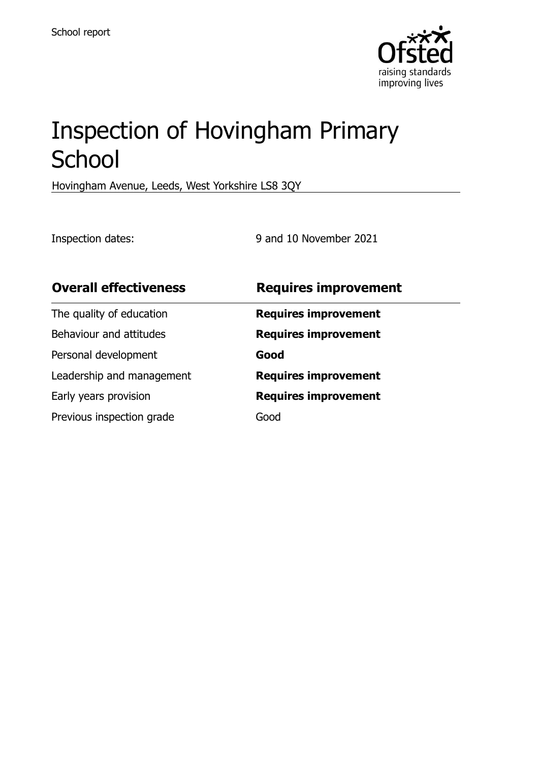

# Inspection of Hovingham Primary **School**

Hovingham Avenue, Leeds, West Yorkshire LS8 3QY

Inspection dates: 9 and 10 November 2021

| <b>Overall effectiveness</b> | <b>Requires improvement</b> |
|------------------------------|-----------------------------|
| The quality of education     | <b>Requires improvement</b> |
| Behaviour and attitudes      | <b>Requires improvement</b> |
| Personal development         | Good                        |
| Leadership and management    | <b>Requires improvement</b> |
| Early years provision        | <b>Requires improvement</b> |
| Previous inspection grade    | Good                        |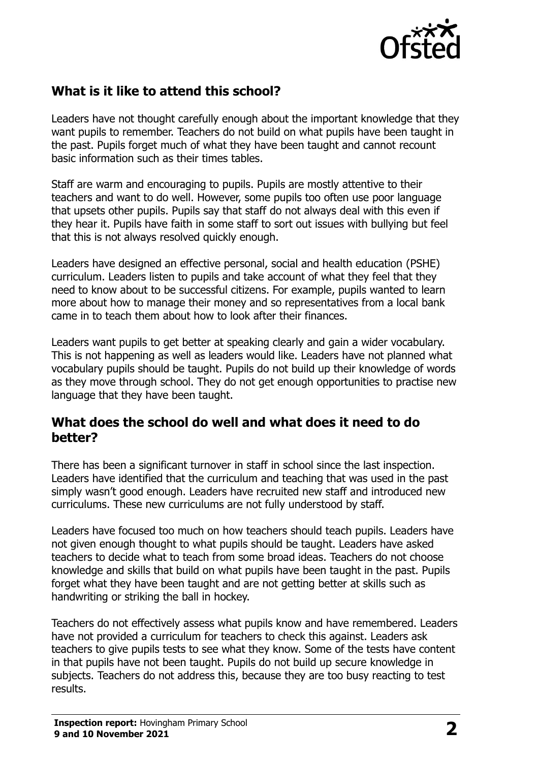

## **What is it like to attend this school?**

Leaders have not thought carefully enough about the important knowledge that they want pupils to remember. Teachers do not build on what pupils have been taught in the past. Pupils forget much of what they have been taught and cannot recount basic information such as their times tables.

Staff are warm and encouraging to pupils. Pupils are mostly attentive to their teachers and want to do well. However, some pupils too often use poor language that upsets other pupils. Pupils say that staff do not always deal with this even if they hear it. Pupils have faith in some staff to sort out issues with bullying but feel that this is not always resolved quickly enough.

Leaders have designed an effective personal, social and health education (PSHE) curriculum. Leaders listen to pupils and take account of what they feel that they need to know about to be successful citizens. For example, pupils wanted to learn more about how to manage their money and so representatives from a local bank came in to teach them about how to look after their finances.

Leaders want pupils to get better at speaking clearly and gain a wider vocabulary. This is not happening as well as leaders would like. Leaders have not planned what vocabulary pupils should be taught. Pupils do not build up their knowledge of words as they move through school. They do not get enough opportunities to practise new language that they have been taught.

#### **What does the school do well and what does it need to do better?**

There has been a significant turnover in staff in school since the last inspection. Leaders have identified that the curriculum and teaching that was used in the past simply wasn't good enough. Leaders have recruited new staff and introduced new curriculums. These new curriculums are not fully understood by staff.

Leaders have focused too much on how teachers should teach pupils. Leaders have not given enough thought to what pupils should be taught. Leaders have asked teachers to decide what to teach from some broad ideas. Teachers do not choose knowledge and skills that build on what pupils have been taught in the past. Pupils forget what they have been taught and are not getting better at skills such as handwriting or striking the ball in hockey.

Teachers do not effectively assess what pupils know and have remembered. Leaders have not provided a curriculum for teachers to check this against. Leaders ask teachers to give pupils tests to see what they know. Some of the tests have content in that pupils have not been taught. Pupils do not build up secure knowledge in subjects. Teachers do not address this, because they are too busy reacting to test results.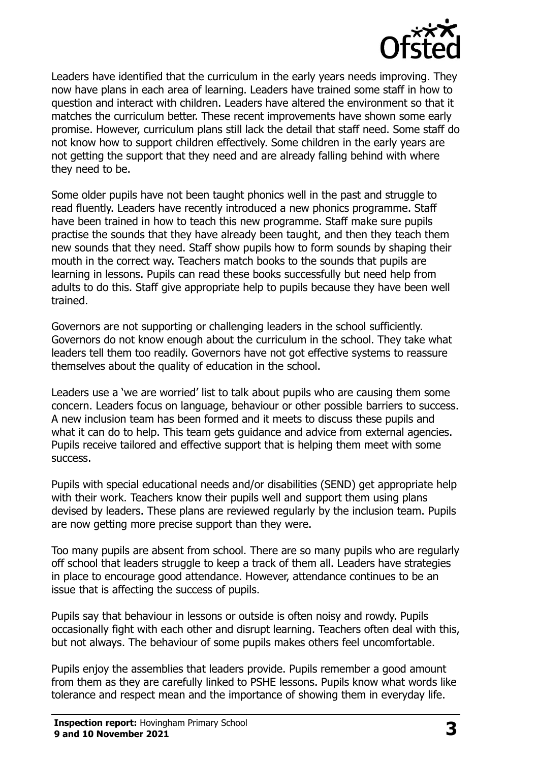

Leaders have identified that the curriculum in the early years needs improving. They now have plans in each area of learning. Leaders have trained some staff in how to question and interact with children. Leaders have altered the environment so that it matches the curriculum better. These recent improvements have shown some early promise. However, curriculum plans still lack the detail that staff need. Some staff do not know how to support children effectively. Some children in the early years are not getting the support that they need and are already falling behind with where they need to be.

Some older pupils have not been taught phonics well in the past and struggle to read fluently. Leaders have recently introduced a new phonics programme. Staff have been trained in how to teach this new programme. Staff make sure pupils practise the sounds that they have already been taught, and then they teach them new sounds that they need. Staff show pupils how to form sounds by shaping their mouth in the correct way. Teachers match books to the sounds that pupils are learning in lessons. Pupils can read these books successfully but need help from adults to do this. Staff give appropriate help to pupils because they have been well trained.

Governors are not supporting or challenging leaders in the school sufficiently. Governors do not know enough about the curriculum in the school. They take what leaders tell them too readily. Governors have not got effective systems to reassure themselves about the quality of education in the school.

Leaders use a 'we are worried' list to talk about pupils who are causing them some concern. Leaders focus on language, behaviour or other possible barriers to success. A new inclusion team has been formed and it meets to discuss these pupils and what it can do to help. This team gets guidance and advice from external agencies. Pupils receive tailored and effective support that is helping them meet with some success.

Pupils with special educational needs and/or disabilities (SEND) get appropriate help with their work. Teachers know their pupils well and support them using plans devised by leaders. These plans are reviewed regularly by the inclusion team. Pupils are now getting more precise support than they were.

Too many pupils are absent from school. There are so many pupils who are regularly off school that leaders struggle to keep a track of them all. Leaders have strategies in place to encourage good attendance. However, attendance continues to be an issue that is affecting the success of pupils.

Pupils say that behaviour in lessons or outside is often noisy and rowdy. Pupils occasionally fight with each other and disrupt learning. Teachers often deal with this, but not always. The behaviour of some pupils makes others feel uncomfortable.

Pupils enjoy the assemblies that leaders provide. Pupils remember a good amount from them as they are carefully linked to PSHE lessons. Pupils know what words like tolerance and respect mean and the importance of showing them in everyday life.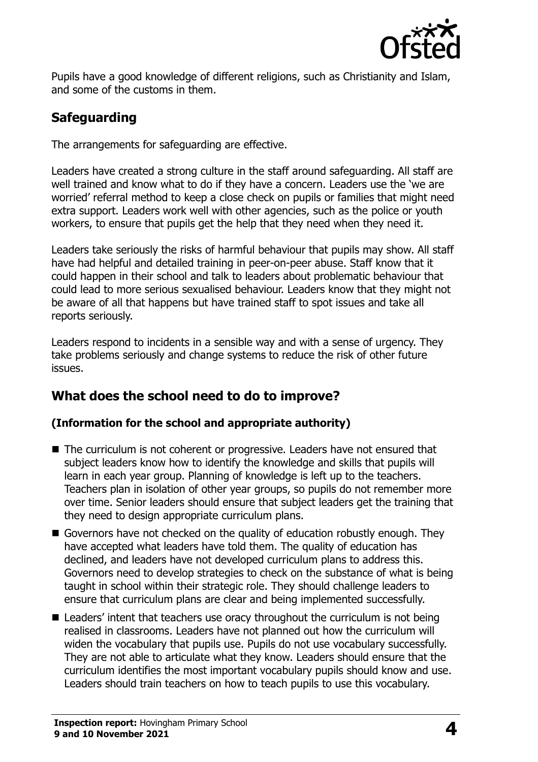

Pupils have a good knowledge of different religions, such as Christianity and Islam, and some of the customs in them.

## **Safeguarding**

The arrangements for safeguarding are effective.

Leaders have created a strong culture in the staff around safeguarding. All staff are well trained and know what to do if they have a concern. Leaders use the 'we are worried' referral method to keep a close check on pupils or families that might need extra support. Leaders work well with other agencies, such as the police or youth workers, to ensure that pupils get the help that they need when they need it.

Leaders take seriously the risks of harmful behaviour that pupils may show. All staff have had helpful and detailed training in peer-on-peer abuse. Staff know that it could happen in their school and talk to leaders about problematic behaviour that could lead to more serious sexualised behaviour. Leaders know that they might not be aware of all that happens but have trained staff to spot issues and take all reports seriously.

Leaders respond to incidents in a sensible way and with a sense of urgency. They take problems seriously and change systems to reduce the risk of other future issues.

## **What does the school need to do to improve?**

#### **(Information for the school and appropriate authority)**

- The curriculum is not coherent or progressive. Leaders have not ensured that subject leaders know how to identify the knowledge and skills that pupils will learn in each year group. Planning of knowledge is left up to the teachers. Teachers plan in isolation of other year groups, so pupils do not remember more over time. Senior leaders should ensure that subject leaders get the training that they need to design appropriate curriculum plans.
- Governors have not checked on the quality of education robustly enough. They have accepted what leaders have told them. The quality of education has declined, and leaders have not developed curriculum plans to address this. Governors need to develop strategies to check on the substance of what is being taught in school within their strategic role. They should challenge leaders to ensure that curriculum plans are clear and being implemented successfully.
- Leaders' intent that teachers use oracy throughout the curriculum is not being realised in classrooms. Leaders have not planned out how the curriculum will widen the vocabulary that pupils use. Pupils do not use vocabulary successfully. They are not able to articulate what they know. Leaders should ensure that the curriculum identifies the most important vocabulary pupils should know and use. Leaders should train teachers on how to teach pupils to use this vocabulary.

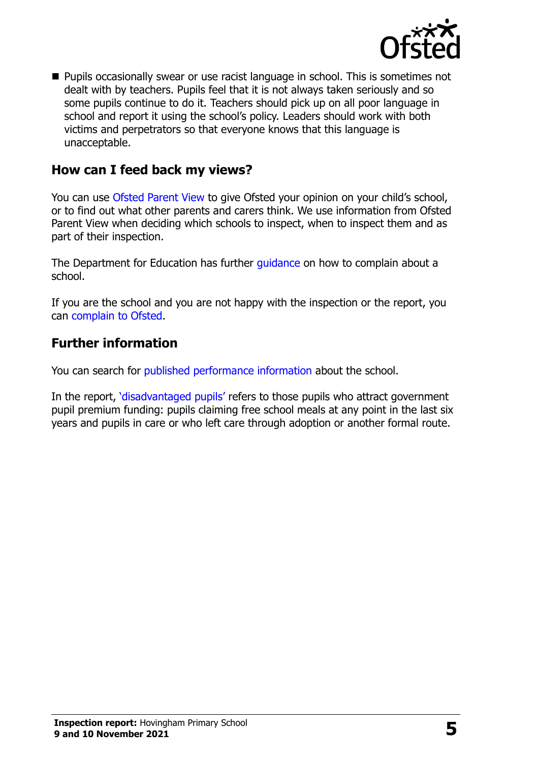

■ Pupils occasionally swear or use racist language in school. This is sometimes not dealt with by teachers. Pupils feel that it is not always taken seriously and so some pupils continue to do it. Teachers should pick up on all poor language in school and report it using the school's policy. Leaders should work with both victims and perpetrators so that everyone knows that this language is unacceptable.

#### **How can I feed back my views?**

You can use [Ofsted Parent View](http://parentview.ofsted.gov.uk/) to give Ofsted your opinion on your child's school, or to find out what other parents and carers think. We use information from Ofsted Parent View when deciding which schools to inspect, when to inspect them and as part of their inspection.

The Department for Education has further quidance on how to complain about a school.

If you are the school and you are not happy with the inspection or the report, you can [complain to Ofsted.](http://www.gov.uk/complain-ofsted-report)

### **Further information**

You can search for [published performance information](http://www.compare-school-performance.service.gov.uk/) about the school.

In the report, '[disadvantaged pupils](http://www.gov.uk/guidance/pupil-premium-information-for-schools-and-alternative-provision-settings)' refers to those pupils who attract government pupil premium funding: pupils claiming free school meals at any point in the last six years and pupils in care or who left care through adoption or another formal route.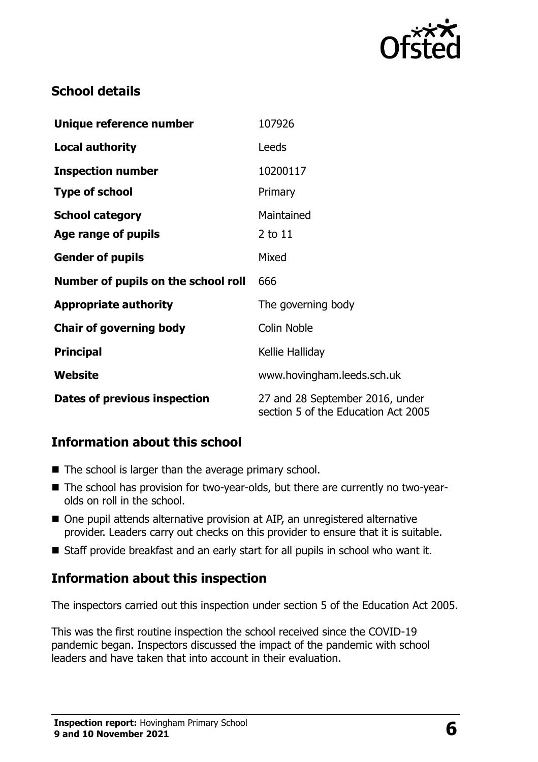

## **School details**

| Unique reference number             | 107926                                                                 |
|-------------------------------------|------------------------------------------------------------------------|
| <b>Local authority</b>              | Leeds                                                                  |
| <b>Inspection number</b>            | 10200117                                                               |
| <b>Type of school</b>               | Primary                                                                |
| <b>School category</b>              | Maintained                                                             |
| Age range of pupils                 | 2 to 11                                                                |
| <b>Gender of pupils</b>             | Mixed                                                                  |
| Number of pupils on the school roll | 666                                                                    |
| <b>Appropriate authority</b>        | The governing body                                                     |
| <b>Chair of governing body</b>      | <b>Colin Noble</b>                                                     |
| <b>Principal</b>                    | Kellie Halliday                                                        |
| Website                             | www.hovingham.leeds.sch.uk                                             |
| Dates of previous inspection        | 27 and 28 September 2016, under<br>section 5 of the Education Act 2005 |

## **Information about this school**

- The school is larger than the average primary school.
- The school has provision for two-year-olds, but there are currently no two-yearolds on roll in the school.
- One pupil attends alternative provision at AIP, an unregistered alternative provider. Leaders carry out checks on this provider to ensure that it is suitable.
- Staff provide breakfast and an early start for all pupils in school who want it.

#### **Information about this inspection**

The inspectors carried out this inspection under section 5 of the Education Act 2005.

This was the first routine inspection the school received since the COVID-19 pandemic began. Inspectors discussed the impact of the pandemic with school leaders and have taken that into account in their evaluation.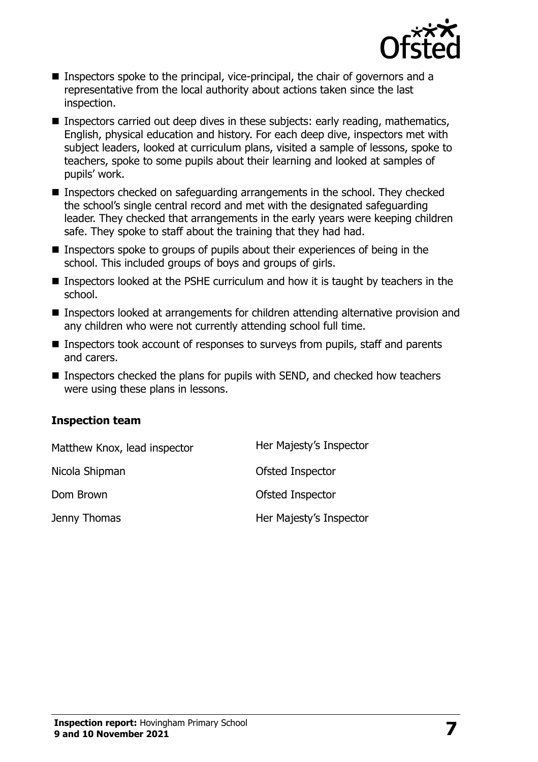

- Inspectors spoke to the principal, vice-principal, the chair of governors and a representative from the local authority about actions taken since the last inspection.
- Inspectors carried out deep dives in these subjects: early reading, mathematics, English, physical education and history. For each deep dive, inspectors met with subject leaders, looked at curriculum plans, visited a sample of lessons, spoke to teachers, spoke to some pupils about their learning and looked at samples of pupils' work.
- Inspectors checked on safeguarding arrangements in the school. They checked the school's single central record and met with the designated safeguarding leader. They checked that arrangements in the early years were keeping children safe. They spoke to staff about the training that they had had.
- Inspectors spoke to groups of pupils about their experiences of being in the school. This included groups of boys and groups of girls.
- Inspectors looked at the PSHE curriculum and how it is taught by teachers in the school.
- Inspectors looked at arrangements for children attending alternative provision and any children who were not currently attending school full time.
- Inspectors took account of responses to surveys from pupils, staff and parents and carers.
- Inspectors checked the plans for pupils with SEND, and checked how teachers were using these plans in lessons.

#### **Inspection team**

| Matthew Knox, lead inspector | Her Majesty's Inspector |
|------------------------------|-------------------------|
| Nicola Shipman               | Ofsted Inspector        |
| Dom Brown                    | Ofsted Inspector        |
| Jenny Thomas                 | Her Majesty's Inspector |